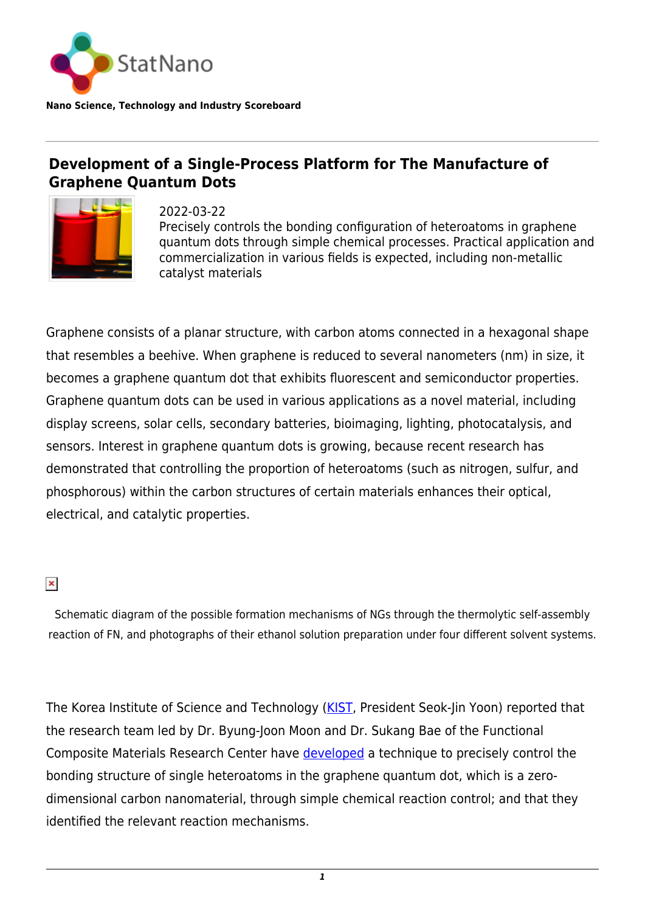

**Nano Science, Technology and Industry Scoreboard**

## **Development of a Single-Process Platform for The Manufacture of Graphene Quantum Dots**



2022-03-22 Precisely controls the bonding configuration of heteroatoms in graphene quantum dots through simple chemical processes. Practical application and commercialization in various fields is expected, including non-metallic catalyst materials

Graphene consists of a planar structure, with carbon atoms connected in a hexagonal shape that resembles a beehive. When graphene is reduced to several nanometers (nm) in size, it becomes a graphene quantum dot that exhibits fluorescent and semiconductor properties. Graphene quantum dots can be used in various applications as a novel material, including display screens, solar cells, secondary batteries, bioimaging, lighting, photocatalysis, and sensors. Interest in graphene quantum dots is growing, because recent research has demonstrated that controlling the proportion of heteroatoms (such as nitrogen, sulfur, and phosphorous) within the carbon structures of certain materials enhances their optical, electrical, and catalytic properties.

 $\pmb{\times}$ 

Schematic diagram of the possible formation mechanisms of NGs through the thermolytic self-assembly reaction of FN, and photographs of their ethanol solution preparation under four different solvent systems.

The Korea Institute of Science and Technology ([KIST,](https://statnano.com/org/Korea-Institute-of-Science-and-Technology) President Seok-Jin Yoon) reported that the research team led by Dr. Byung-Joon Moon and Dr. Sukang Bae of the Functional Composite Materials Research Center have [developed](https://www.nature.com/articles/s41467-021-26122-0) a technique to precisely control the bonding structure of single heteroatoms in the graphene quantum dot, which is a zerodimensional carbon nanomaterial, through simple chemical reaction control; and that they identified the relevant reaction mechanisms.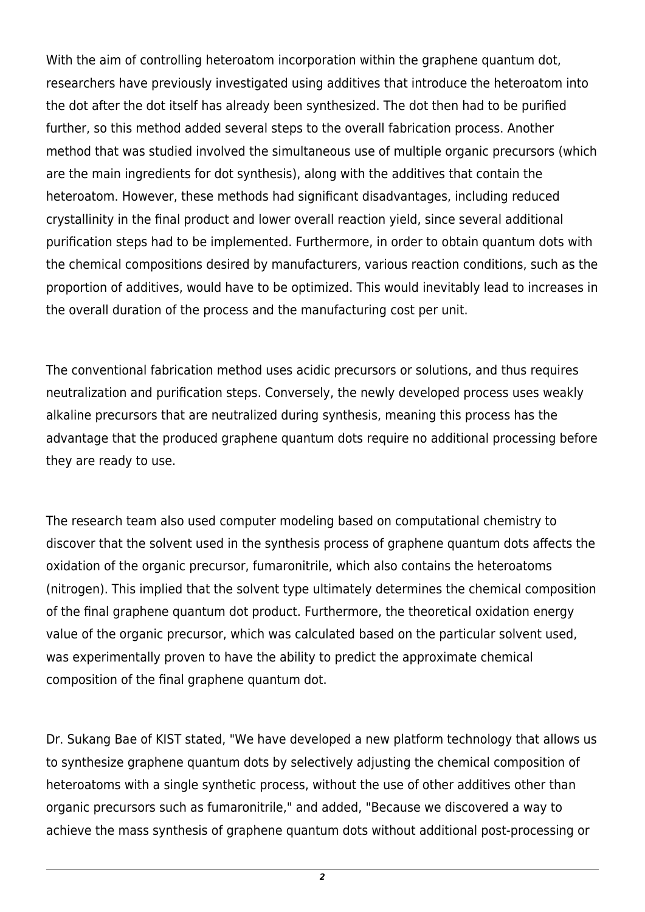With the aim of controlling heteroatom incorporation within the graphene quantum dot, researchers have previously investigated using additives that introduce the heteroatom into the dot after the dot itself has already been synthesized. The dot then had to be purified further, so this method added several steps to the overall fabrication process. Another method that was studied involved the simultaneous use of multiple organic precursors (which are the main ingredients for dot synthesis), along with the additives that contain the heteroatom. However, these methods had significant disadvantages, including reduced crystallinity in the final product and lower overall reaction yield, since several additional purification steps had to be implemented. Furthermore, in order to obtain quantum dots with the chemical compositions desired by manufacturers, various reaction conditions, such as the proportion of additives, would have to be optimized. This would inevitably lead to increases in the overall duration of the process and the manufacturing cost per unit.

The conventional fabrication method uses acidic precursors or solutions, and thus requires neutralization and purification steps. Conversely, the newly developed process uses weakly alkaline precursors that are neutralized during synthesis, meaning this process has the advantage that the produced graphene quantum dots require no additional processing before they are ready to use.

The research team also used computer modeling based on computational chemistry to discover that the solvent used in the synthesis process of graphene quantum dots affects the oxidation of the organic precursor, fumaronitrile, which also contains the heteroatoms (nitrogen). This implied that the solvent type ultimately determines the chemical composition of the final graphene quantum dot product. Furthermore, the theoretical oxidation energy value of the organic precursor, which was calculated based on the particular solvent used, was experimentally proven to have the ability to predict the approximate chemical composition of the final graphene quantum dot.

Dr. Sukang Bae of KIST stated, "We have developed a new platform technology that allows us to synthesize graphene quantum dots by selectively adjusting the chemical composition of heteroatoms with a single synthetic process, without the use of other additives other than organic precursors such as fumaronitrile," and added, "Because we discovered a way to achieve the mass synthesis of graphene quantum dots without additional post-processing or